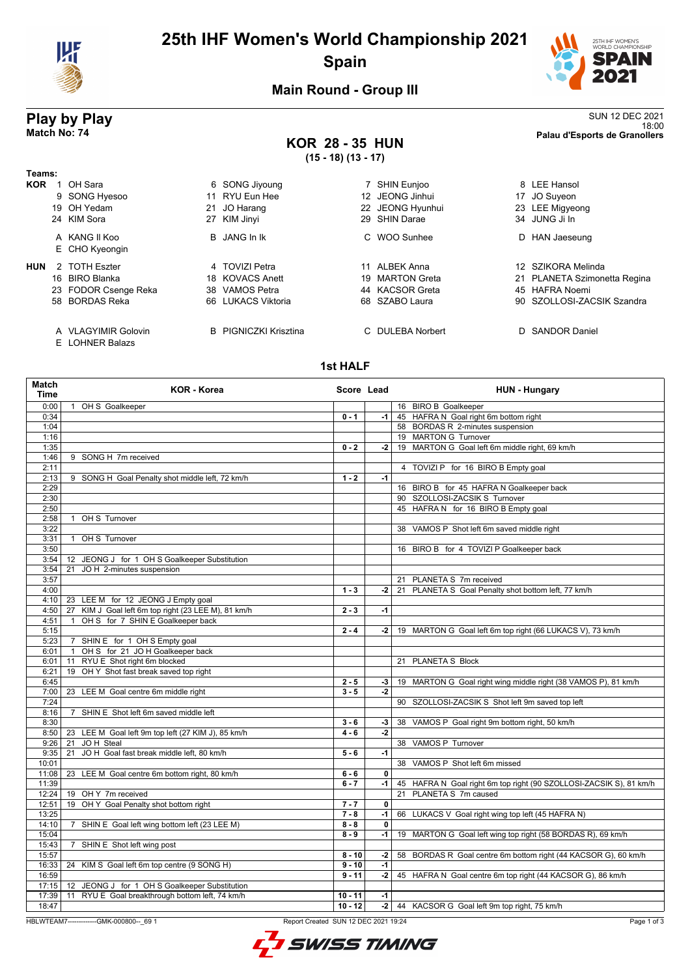

# **25th IHF Women's World Championship 2021 Spain**



18:00 **Match No: 74 Palau d'Esports de Granollers**

## **Main Round - Group III**

# **Play by Play**<br>Match No: 74<br>Palau d'Esports de Granollers

## **KOR 28 - 35 HUN (15 - 18) (13 - 17)**

| Teams:     |                                 |     |                              |     |                  |    |                              |
|------------|---------------------------------|-----|------------------------------|-----|------------------|----|------------------------------|
| <b>KOR</b> | OH Sara                         |     | 6 SONG Jiyoung               |     | 7 SHIN Eunioo    |    | 8 LEE Hansol                 |
|            | 9 SONG Hyesoo                   |     | 11 RYU Eun Hee               | 12. | JEONG Jinhui     | 17 | JO Suyeon                    |
|            | 19 OH Yedam                     |     | 21 JO Harang                 |     | 22 JEONG Hyunhui |    | 23 LEE Migyeong              |
|            | 24 KIM Sora                     |     | 27 KIM Jinyi                 |     | 29 SHIN Darae    |    | 34 JUNG Ji In                |
|            | A KANG II Koo<br>E CHO Kyeongin |     | B JANG In Ik                 |     | C WOO Sunhee     | D  | HAN Jaeseung                 |
| <b>HUN</b> | 2 TOTH Eszter                   |     | 4 TOVIZI Petra               | 11  | ALBEK Anna       |    | 12 SZIKORA Melinda           |
|            | 16 BIRO Blanka                  |     | 18 KOVACS Anett              |     | 19 MARTON Greta  |    | 21 PLANETA Szimonetta Regina |
|            | 23 FODOR Csenge Reka            | 38  | VAMOS Petra                  |     | 44 KACSOR Greta  |    | 45 HAFRA Noemi               |
|            | 58 BORDAS Reka                  | 66. | LUKACS Viktoria              |     | 68 SZABO Laura   |    | 90 SZOLLOSI-ZACSIK Szandra   |
|            | A VLAGYIMIR Golovin             |     | <b>B</b> PIGNICZKI Krisztina |     | C DULEBA Norbert |    | D SANDOR Daniel              |

E LOHNER Balazs

### **1st HALF**

| 0:00<br>OH S Goalkeeper<br>16 BIRO B Goalkeeper<br>$\mathbf{1}$<br>45 HAFRA N Goal right 6m bottom right<br>0:34<br>$0 - 1$<br>-1  <br>58 BORDAS R 2-minutes suspension<br>1:04<br>1:16<br>19 MARTON G Turnover<br>1:35<br>19 MARTON G Goal left 6m middle right, 69 km/h<br>$0 - 2$<br>$-2$<br>1:46<br>9 SONG H 7m received<br>2:11<br>4 TOVIZI P for 16 BIRO B Empty goal<br>2:13<br>9 SONG H Goal Penalty shot middle left, 72 km/h<br>$1 - 2$<br>$-1$<br>2:29<br>16 BIRO B for 45 HAFRA N Goalkeeper back<br>90 SZOLLOSI-ZACSIK S Turnover<br>2:30<br>45 HAFRA N for 16 BIRO B Empty goal<br>2:50<br>2:58<br>OH S Turnover<br>$\mathbf{1}$<br>3:22<br>38 VAMOS P Shot left 6m saved middle right<br>OH S Turnover<br>3:31<br>$\mathbf{1}$<br>3:50<br>16 BIRO B for 4 TOVIZI P Goalkeeper back<br>3:54<br>JEONG J for 1 OH S Goalkeeper Substitution<br>12<br>JO H 2-minutes suspension<br>3:54<br>21<br>3:57<br>21 PLANETA S 7m received<br>21 PLANETA S Goal Penalty shot bottom left, 77 km/h<br>4:00<br>$1 - 3$<br>-2  <br>23 LEE M for 12 JEONG J Empty goal<br>4:10<br>KIM J Goal left 6m top right (23 LEE M), 81 km/h<br>$2 - 3$<br>4:50<br>27<br>$-1$<br>OH S for 7 SHIN E Goalkeeper back<br>4:51<br>$\mathbf{1}$<br>5:15<br>$2 - 4$<br>19 MARTON G Goal left 6m top right (66 LUKACS V), 73 km/h<br>-2  <br>5:23<br>7 SHIN E for 1 OH S Empty goal<br>OH S for 21 JO H Goalkeeper back<br>6:01<br>$\mathbf{1}$<br>RYU E Shot right 6m blocked<br>6:01<br>21 PLANETA S Block<br>11<br>OH Y Shot fast break saved top right<br>6:21<br>19<br>19 MARTON G Goal right wing middle right (38 VAMOS P), 81 km/h<br>6:45<br>$2 - 5$<br>$-3$<br>$3 - 5$<br>$-2$<br>7:00<br>23 LEE M Goal centre 6m middle right<br>7:24<br>90 SZOLLOSI-ZACSIK S Shot left 9m saved top left<br>SHIN E Shot left 6m saved middle left<br>8:16<br>$\overline{7}$<br>8:30<br>$3 - 6$<br>38 VAMOS P Goal right 9m bottom right, 50 km/h<br>$-3$<br>$-2$<br>8:50<br>23 LEE M Goal left 9m top left (27 KIM J), 85 km/h<br>$4 - 6$<br>JOH Steal<br>38 VAMOS P Turnover<br>9:26<br>21 |  |
|----------------------------------------------------------------------------------------------------------------------------------------------------------------------------------------------------------------------------------------------------------------------------------------------------------------------------------------------------------------------------------------------------------------------------------------------------------------------------------------------------------------------------------------------------------------------------------------------------------------------------------------------------------------------------------------------------------------------------------------------------------------------------------------------------------------------------------------------------------------------------------------------------------------------------------------------------------------------------------------------------------------------------------------------------------------------------------------------------------------------------------------------------------------------------------------------------------------------------------------------------------------------------------------------------------------------------------------------------------------------------------------------------------------------------------------------------------------------------------------------------------------------------------------------------------------------------------------------------------------------------------------------------------------------------------------------------------------------------------------------------------------------------------------------------------------------------------------------------------------------------------------------------------------------------------------------------------------------------------------------------------------------------------------------------------------------|--|
|                                                                                                                                                                                                                                                                                                                                                                                                                                                                                                                                                                                                                                                                                                                                                                                                                                                                                                                                                                                                                                                                                                                                                                                                                                                                                                                                                                                                                                                                                                                                                                                                                                                                                                                                                                                                                                                                                                                                                                                                                                                                      |  |
|                                                                                                                                                                                                                                                                                                                                                                                                                                                                                                                                                                                                                                                                                                                                                                                                                                                                                                                                                                                                                                                                                                                                                                                                                                                                                                                                                                                                                                                                                                                                                                                                                                                                                                                                                                                                                                                                                                                                                                                                                                                                      |  |
|                                                                                                                                                                                                                                                                                                                                                                                                                                                                                                                                                                                                                                                                                                                                                                                                                                                                                                                                                                                                                                                                                                                                                                                                                                                                                                                                                                                                                                                                                                                                                                                                                                                                                                                                                                                                                                                                                                                                                                                                                                                                      |  |
|                                                                                                                                                                                                                                                                                                                                                                                                                                                                                                                                                                                                                                                                                                                                                                                                                                                                                                                                                                                                                                                                                                                                                                                                                                                                                                                                                                                                                                                                                                                                                                                                                                                                                                                                                                                                                                                                                                                                                                                                                                                                      |  |
|                                                                                                                                                                                                                                                                                                                                                                                                                                                                                                                                                                                                                                                                                                                                                                                                                                                                                                                                                                                                                                                                                                                                                                                                                                                                                                                                                                                                                                                                                                                                                                                                                                                                                                                                                                                                                                                                                                                                                                                                                                                                      |  |
|                                                                                                                                                                                                                                                                                                                                                                                                                                                                                                                                                                                                                                                                                                                                                                                                                                                                                                                                                                                                                                                                                                                                                                                                                                                                                                                                                                                                                                                                                                                                                                                                                                                                                                                                                                                                                                                                                                                                                                                                                                                                      |  |
|                                                                                                                                                                                                                                                                                                                                                                                                                                                                                                                                                                                                                                                                                                                                                                                                                                                                                                                                                                                                                                                                                                                                                                                                                                                                                                                                                                                                                                                                                                                                                                                                                                                                                                                                                                                                                                                                                                                                                                                                                                                                      |  |
|                                                                                                                                                                                                                                                                                                                                                                                                                                                                                                                                                                                                                                                                                                                                                                                                                                                                                                                                                                                                                                                                                                                                                                                                                                                                                                                                                                                                                                                                                                                                                                                                                                                                                                                                                                                                                                                                                                                                                                                                                                                                      |  |
|                                                                                                                                                                                                                                                                                                                                                                                                                                                                                                                                                                                                                                                                                                                                                                                                                                                                                                                                                                                                                                                                                                                                                                                                                                                                                                                                                                                                                                                                                                                                                                                                                                                                                                                                                                                                                                                                                                                                                                                                                                                                      |  |
|                                                                                                                                                                                                                                                                                                                                                                                                                                                                                                                                                                                                                                                                                                                                                                                                                                                                                                                                                                                                                                                                                                                                                                                                                                                                                                                                                                                                                                                                                                                                                                                                                                                                                                                                                                                                                                                                                                                                                                                                                                                                      |  |
|                                                                                                                                                                                                                                                                                                                                                                                                                                                                                                                                                                                                                                                                                                                                                                                                                                                                                                                                                                                                                                                                                                                                                                                                                                                                                                                                                                                                                                                                                                                                                                                                                                                                                                                                                                                                                                                                                                                                                                                                                                                                      |  |
|                                                                                                                                                                                                                                                                                                                                                                                                                                                                                                                                                                                                                                                                                                                                                                                                                                                                                                                                                                                                                                                                                                                                                                                                                                                                                                                                                                                                                                                                                                                                                                                                                                                                                                                                                                                                                                                                                                                                                                                                                                                                      |  |
|                                                                                                                                                                                                                                                                                                                                                                                                                                                                                                                                                                                                                                                                                                                                                                                                                                                                                                                                                                                                                                                                                                                                                                                                                                                                                                                                                                                                                                                                                                                                                                                                                                                                                                                                                                                                                                                                                                                                                                                                                                                                      |  |
|                                                                                                                                                                                                                                                                                                                                                                                                                                                                                                                                                                                                                                                                                                                                                                                                                                                                                                                                                                                                                                                                                                                                                                                                                                                                                                                                                                                                                                                                                                                                                                                                                                                                                                                                                                                                                                                                                                                                                                                                                                                                      |  |
|                                                                                                                                                                                                                                                                                                                                                                                                                                                                                                                                                                                                                                                                                                                                                                                                                                                                                                                                                                                                                                                                                                                                                                                                                                                                                                                                                                                                                                                                                                                                                                                                                                                                                                                                                                                                                                                                                                                                                                                                                                                                      |  |
|                                                                                                                                                                                                                                                                                                                                                                                                                                                                                                                                                                                                                                                                                                                                                                                                                                                                                                                                                                                                                                                                                                                                                                                                                                                                                                                                                                                                                                                                                                                                                                                                                                                                                                                                                                                                                                                                                                                                                                                                                                                                      |  |
|                                                                                                                                                                                                                                                                                                                                                                                                                                                                                                                                                                                                                                                                                                                                                                                                                                                                                                                                                                                                                                                                                                                                                                                                                                                                                                                                                                                                                                                                                                                                                                                                                                                                                                                                                                                                                                                                                                                                                                                                                                                                      |  |
|                                                                                                                                                                                                                                                                                                                                                                                                                                                                                                                                                                                                                                                                                                                                                                                                                                                                                                                                                                                                                                                                                                                                                                                                                                                                                                                                                                                                                                                                                                                                                                                                                                                                                                                                                                                                                                                                                                                                                                                                                                                                      |  |
|                                                                                                                                                                                                                                                                                                                                                                                                                                                                                                                                                                                                                                                                                                                                                                                                                                                                                                                                                                                                                                                                                                                                                                                                                                                                                                                                                                                                                                                                                                                                                                                                                                                                                                                                                                                                                                                                                                                                                                                                                                                                      |  |
|                                                                                                                                                                                                                                                                                                                                                                                                                                                                                                                                                                                                                                                                                                                                                                                                                                                                                                                                                                                                                                                                                                                                                                                                                                                                                                                                                                                                                                                                                                                                                                                                                                                                                                                                                                                                                                                                                                                                                                                                                                                                      |  |
|                                                                                                                                                                                                                                                                                                                                                                                                                                                                                                                                                                                                                                                                                                                                                                                                                                                                                                                                                                                                                                                                                                                                                                                                                                                                                                                                                                                                                                                                                                                                                                                                                                                                                                                                                                                                                                                                                                                                                                                                                                                                      |  |
|                                                                                                                                                                                                                                                                                                                                                                                                                                                                                                                                                                                                                                                                                                                                                                                                                                                                                                                                                                                                                                                                                                                                                                                                                                                                                                                                                                                                                                                                                                                                                                                                                                                                                                                                                                                                                                                                                                                                                                                                                                                                      |  |
|                                                                                                                                                                                                                                                                                                                                                                                                                                                                                                                                                                                                                                                                                                                                                                                                                                                                                                                                                                                                                                                                                                                                                                                                                                                                                                                                                                                                                                                                                                                                                                                                                                                                                                                                                                                                                                                                                                                                                                                                                                                                      |  |
|                                                                                                                                                                                                                                                                                                                                                                                                                                                                                                                                                                                                                                                                                                                                                                                                                                                                                                                                                                                                                                                                                                                                                                                                                                                                                                                                                                                                                                                                                                                                                                                                                                                                                                                                                                                                                                                                                                                                                                                                                                                                      |  |
|                                                                                                                                                                                                                                                                                                                                                                                                                                                                                                                                                                                                                                                                                                                                                                                                                                                                                                                                                                                                                                                                                                                                                                                                                                                                                                                                                                                                                                                                                                                                                                                                                                                                                                                                                                                                                                                                                                                                                                                                                                                                      |  |
|                                                                                                                                                                                                                                                                                                                                                                                                                                                                                                                                                                                                                                                                                                                                                                                                                                                                                                                                                                                                                                                                                                                                                                                                                                                                                                                                                                                                                                                                                                                                                                                                                                                                                                                                                                                                                                                                                                                                                                                                                                                                      |  |
|                                                                                                                                                                                                                                                                                                                                                                                                                                                                                                                                                                                                                                                                                                                                                                                                                                                                                                                                                                                                                                                                                                                                                                                                                                                                                                                                                                                                                                                                                                                                                                                                                                                                                                                                                                                                                                                                                                                                                                                                                                                                      |  |
|                                                                                                                                                                                                                                                                                                                                                                                                                                                                                                                                                                                                                                                                                                                                                                                                                                                                                                                                                                                                                                                                                                                                                                                                                                                                                                                                                                                                                                                                                                                                                                                                                                                                                                                                                                                                                                                                                                                                                                                                                                                                      |  |
|                                                                                                                                                                                                                                                                                                                                                                                                                                                                                                                                                                                                                                                                                                                                                                                                                                                                                                                                                                                                                                                                                                                                                                                                                                                                                                                                                                                                                                                                                                                                                                                                                                                                                                                                                                                                                                                                                                                                                                                                                                                                      |  |
|                                                                                                                                                                                                                                                                                                                                                                                                                                                                                                                                                                                                                                                                                                                                                                                                                                                                                                                                                                                                                                                                                                                                                                                                                                                                                                                                                                                                                                                                                                                                                                                                                                                                                                                                                                                                                                                                                                                                                                                                                                                                      |  |
|                                                                                                                                                                                                                                                                                                                                                                                                                                                                                                                                                                                                                                                                                                                                                                                                                                                                                                                                                                                                                                                                                                                                                                                                                                                                                                                                                                                                                                                                                                                                                                                                                                                                                                                                                                                                                                                                                                                                                                                                                                                                      |  |
|                                                                                                                                                                                                                                                                                                                                                                                                                                                                                                                                                                                                                                                                                                                                                                                                                                                                                                                                                                                                                                                                                                                                                                                                                                                                                                                                                                                                                                                                                                                                                                                                                                                                                                                                                                                                                                                                                                                                                                                                                                                                      |  |
|                                                                                                                                                                                                                                                                                                                                                                                                                                                                                                                                                                                                                                                                                                                                                                                                                                                                                                                                                                                                                                                                                                                                                                                                                                                                                                                                                                                                                                                                                                                                                                                                                                                                                                                                                                                                                                                                                                                                                                                                                                                                      |  |
|                                                                                                                                                                                                                                                                                                                                                                                                                                                                                                                                                                                                                                                                                                                                                                                                                                                                                                                                                                                                                                                                                                                                                                                                                                                                                                                                                                                                                                                                                                                                                                                                                                                                                                                                                                                                                                                                                                                                                                                                                                                                      |  |
| JO H Goal fast break middle left, 80 km/h<br>$-1$<br>9:35<br>21<br>$5 - 6$                                                                                                                                                                                                                                                                                                                                                                                                                                                                                                                                                                                                                                                                                                                                                                                                                                                                                                                                                                                                                                                                                                                                                                                                                                                                                                                                                                                                                                                                                                                                                                                                                                                                                                                                                                                                                                                                                                                                                                                           |  |
| 10:01<br>38 VAMOS P Shot left 6m missed                                                                                                                                                                                                                                                                                                                                                                                                                                                                                                                                                                                                                                                                                                                                                                                                                                                                                                                                                                                                                                                                                                                                                                                                                                                                                                                                                                                                                                                                                                                                                                                                                                                                                                                                                                                                                                                                                                                                                                                                                              |  |
| 11:08<br>23 LEE M Goal centre 6m bottom right, 80 km/h<br>$\mathbf 0$<br>$6 - 6$                                                                                                                                                                                                                                                                                                                                                                                                                                                                                                                                                                                                                                                                                                                                                                                                                                                                                                                                                                                                                                                                                                                                                                                                                                                                                                                                                                                                                                                                                                                                                                                                                                                                                                                                                                                                                                                                                                                                                                                     |  |
| 11:39<br>$6 - 7$<br>-1  <br>45 HAFRA N Goal right 6m top right (90 SZOLLOSI-ZACSIK S), 81 km/h                                                                                                                                                                                                                                                                                                                                                                                                                                                                                                                                                                                                                                                                                                                                                                                                                                                                                                                                                                                                                                                                                                                                                                                                                                                                                                                                                                                                                                                                                                                                                                                                                                                                                                                                                                                                                                                                                                                                                                       |  |
| 21 PLANETA S 7m caused<br>12:24<br>19 OH Y 7m received                                                                                                                                                                                                                                                                                                                                                                                                                                                                                                                                                                                                                                                                                                                                                                                                                                                                                                                                                                                                                                                                                                                                                                                                                                                                                                                                                                                                                                                                                                                                                                                                                                                                                                                                                                                                                                                                                                                                                                                                               |  |
| OH Y Goal Penalty shot bottom right<br>12:51<br>$7 - 7$<br>$\overline{\mathbf{0}}$<br>19                                                                                                                                                                                                                                                                                                                                                                                                                                                                                                                                                                                                                                                                                                                                                                                                                                                                                                                                                                                                                                                                                                                                                                                                                                                                                                                                                                                                                                                                                                                                                                                                                                                                                                                                                                                                                                                                                                                                                                             |  |
| 13:25<br>$7 - 8$<br>$-1$<br>66 LUKACS V Goal right wing top left (45 HAFRA N)                                                                                                                                                                                                                                                                                                                                                                                                                                                                                                                                                                                                                                                                                                                                                                                                                                                                                                                                                                                                                                                                                                                                                                                                                                                                                                                                                                                                                                                                                                                                                                                                                                                                                                                                                                                                                                                                                                                                                                                        |  |
| 14:10<br>7 SHIN E Goal left wing bottom left (23 LEE M)<br>$8 - 8$<br>$\mathbf 0$                                                                                                                                                                                                                                                                                                                                                                                                                                                                                                                                                                                                                                                                                                                                                                                                                                                                                                                                                                                                                                                                                                                                                                                                                                                                                                                                                                                                                                                                                                                                                                                                                                                                                                                                                                                                                                                                                                                                                                                    |  |
| 15:04<br>$8 - 9$<br>19 MARTON G Goal left wing top right (58 BORDAS R), 69 km/h<br>-1 l                                                                                                                                                                                                                                                                                                                                                                                                                                                                                                                                                                                                                                                                                                                                                                                                                                                                                                                                                                                                                                                                                                                                                                                                                                                                                                                                                                                                                                                                                                                                                                                                                                                                                                                                                                                                                                                                                                                                                                              |  |
| 15:43<br>7 SHIN E Shot left wing post                                                                                                                                                                                                                                                                                                                                                                                                                                                                                                                                                                                                                                                                                                                                                                                                                                                                                                                                                                                                                                                                                                                                                                                                                                                                                                                                                                                                                                                                                                                                                                                                                                                                                                                                                                                                                                                                                                                                                                                                                                |  |
| 15:57<br>58 BORDAS R Goal centre 6m bottom right (44 KACSOR G), 60 km/h<br>$8 - 10$<br>-2                                                                                                                                                                                                                                                                                                                                                                                                                                                                                                                                                                                                                                                                                                                                                                                                                                                                                                                                                                                                                                                                                                                                                                                                                                                                                                                                                                                                                                                                                                                                                                                                                                                                                                                                                                                                                                                                                                                                                                            |  |
| 24 KIM S Goal left 6m top centre (9 SONG H)<br>$-1$<br>16:33<br>$9 - 10$                                                                                                                                                                                                                                                                                                                                                                                                                                                                                                                                                                                                                                                                                                                                                                                                                                                                                                                                                                                                                                                                                                                                                                                                                                                                                                                                                                                                                                                                                                                                                                                                                                                                                                                                                                                                                                                                                                                                                                                             |  |
| 16:59<br>$-2$<br>45 HAFRA N Goal centre 6m top right (44 KACSOR G), 86 km/h<br>$9 - 11$                                                                                                                                                                                                                                                                                                                                                                                                                                                                                                                                                                                                                                                                                                                                                                                                                                                                                                                                                                                                                                                                                                                                                                                                                                                                                                                                                                                                                                                                                                                                                                                                                                                                                                                                                                                                                                                                                                                                                                              |  |
| 17:15<br>12 JEONG J for 1 OH S Goalkeeper Substitution                                                                                                                                                                                                                                                                                                                                                                                                                                                                                                                                                                                                                                                                                                                                                                                                                                                                                                                                                                                                                                                                                                                                                                                                                                                                                                                                                                                                                                                                                                                                                                                                                                                                                                                                                                                                                                                                                                                                                                                                               |  |
| RYU E Goal breakthrough bottom left, 74 km/h<br>17:39<br>11<br>$10 - 11$<br>$-1$                                                                                                                                                                                                                                                                                                                                                                                                                                                                                                                                                                                                                                                                                                                                                                                                                                                                                                                                                                                                                                                                                                                                                                                                                                                                                                                                                                                                                                                                                                                                                                                                                                                                                                                                                                                                                                                                                                                                                                                     |  |
| 18:47<br>$10 - 12$<br>-2 44 KACSOR G Goal left 9m top right, 75 km/h                                                                                                                                                                                                                                                                                                                                                                                                                                                                                                                                                                                                                                                                                                                                                                                                                                                                                                                                                                                                                                                                                                                                                                                                                                                                                                                                                                                                                                                                                                                                                                                                                                                                                                                                                                                                                                                                                                                                                                                                 |  |

HBLWTEAM7-------------GMK-000800--\_69 1 Report Created SUN 12 DEC 2021 19:24

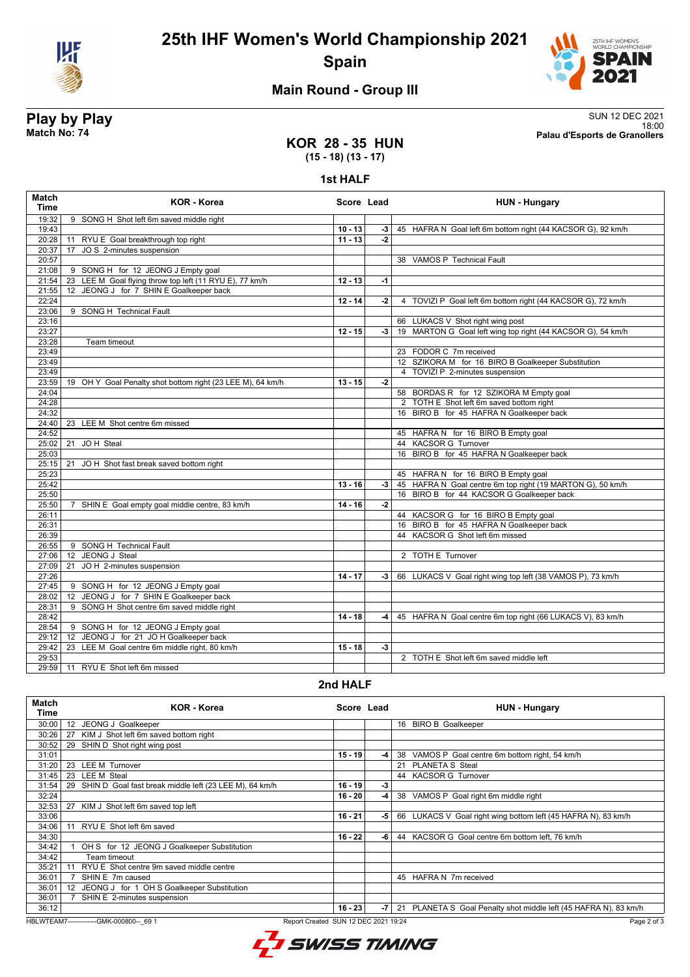



# **Main Round - Group III**

**Play by Play**<br>Match No: 74<br>Palau d'Esports de Granollers 18:00 **Match No: 74 Palau d'Esports de Granollers**

### **KOR 28 - 35 HUN (15 - 18) (13 - 17)**

**1st HALF**

| <b>Match</b><br><b>Time</b> | <b>KOR - Korea</b>                                         | Score Lead |      | <b>HUN - Hungary</b>                                        |
|-----------------------------|------------------------------------------------------------|------------|------|-------------------------------------------------------------|
| 19:32                       | 9 SONG H Shot left 6m saved middle right                   |            |      |                                                             |
| 19:43                       |                                                            | $10 - 13$  | $-3$ | 45 HAFRA N Goal left 6m bottom right (44 KACSOR G), 92 km/h |
| 20:28                       | 11 RYU E Goal breakthrough top right                       | $11 - 13$  | $-2$ |                                                             |
| 20:37                       | JO S 2-minutes suspension<br>17                            |            |      |                                                             |
| 20:57                       |                                                            |            |      | 38 VAMOS P Technical Fault                                  |
| 21:08                       | 9 SONG H for 12 JEONG J Empty goal                         |            |      |                                                             |
| 21:54                       | 23 LEE M Goal flying throw top left (11 RYU E), 77 km/h    | $12 - 13$  | $-1$ |                                                             |
| 21:55                       | 12 JEONG J for 7 SHIN E Goalkeeper back                    |            |      |                                                             |
| 22:24                       |                                                            | $12 - 14$  | $-2$ | 4 TOVIZI P Goal left 6m bottom right (44 KACSOR G), 72 km/h |
| 23:06                       | 9 SONG H Technical Fault                                   |            |      |                                                             |
| 23:16<br>23:27              |                                                            |            |      | 66 LUKACS V Shot right wing post                            |
| 23:28                       | Team timeout                                               | $12 - 15$  | -3   | 19 MARTON G Goal left wing top right (44 KACSOR G), 54 km/h |
| 23:49                       |                                                            |            |      | 23 FODOR C 7m received                                      |
| 23:49                       |                                                            |            |      | 12 SZIKORA M for 16 BIRO B Goalkeeper Substitution          |
| 23:49                       |                                                            |            |      | 4 TOVIZI P 2-minutes suspension                             |
| 23:59                       | 19 OH Y Goal Penalty shot bottom right (23 LEE M), 64 km/h | $13 - 15$  | $-2$ |                                                             |
| 24:04                       |                                                            |            |      | 58 BORDAS R for 12 SZIKORA M Empty goal                     |
| 24:28                       |                                                            |            |      | 2 TOTH E Shot left 6m saved bottom right                    |
| 24:32                       |                                                            |            |      | 16 BIRO B for 45 HAFRA N Goalkeeper back                    |
| 24:40                       | 23 LEE M Shot centre 6m missed                             |            |      |                                                             |
| 24:52                       |                                                            |            |      | 45 HAFRA N for 16 BIRO B Empty goal                         |
| 25:02                       | 21 JOH Steal                                               |            |      | 44 KACSOR G Turnover                                        |
| 25:03                       |                                                            |            |      | 16 BIRO B for 45 HAFRA N Goalkeeper back                    |
| 25:15                       | JO H Shot fast break saved bottom right<br>21              |            |      |                                                             |
| 25:23                       |                                                            |            |      | 45 HAFRA N for 16 BIRO B Empty goal                         |
| 25:42                       |                                                            | $13 - 16$  | -3 1 | 45 HAFRA N Goal centre 6m top right (19 MARTON G), 50 km/h  |
| 25:50                       |                                                            |            |      | 16 BIRO B for 44 KACSOR G Goalkeeper back                   |
| 25:50                       | SHIN E Goal empty goal middle centre, 83 km/h<br>7         | $14 - 16$  | $-2$ |                                                             |
| 26:11                       |                                                            |            |      | 44 KACSOR G for 16 BIRO B Empty goal                        |
| 26:31                       |                                                            |            |      | 16 BIRO B for 45 HAFRA N Goalkeeper back                    |
| 26:39                       |                                                            |            |      | 44 KACSOR G Shot left 6m missed                             |
| 26:55                       | 9 SONG H Technical Fault<br>12 JEONG J Steal               |            |      | 2 TOTH E Turnover                                           |
| 27:06                       | 21                                                         |            |      |                                                             |
| 27:09<br>27:26              | JO H 2-minutes suspension                                  | $14 - 17$  | -3   | 66 LUKACS V Goal right wing top left (38 VAMOS P), 73 km/h  |
| 27:45                       | 9 SONG H for 12 JEONG J Empty goal                         |            |      |                                                             |
| 28:02                       | JEONG J for 7 SHIN E Goalkeeper back<br>12 <sup>2</sup>    |            |      |                                                             |
| 28:31                       | 9 SONG H Shot centre 6m saved middle right                 |            |      |                                                             |
| 28:42                       |                                                            | $14 - 18$  | -4 l | 45 HAFRA N Goal centre 6m top right (66 LUKACS V), 83 km/h  |
| 28:54                       | 9 SONG H for 12 JEONG J Empty goal                         |            |      |                                                             |
| 29:12                       | 12 JEONG J for 21 JO H Goalkeeper back                     |            |      |                                                             |
| 29:42                       | 23 LEE M Goal centre 6m middle right, 80 km/h              | $15 - 18$  | $-3$ |                                                             |
| 29:53                       |                                                            |            |      | 2 TOTH E Shot left 6m saved middle left                     |
| 29:59                       | 11 RYU E Shot left 6m missed                               |            |      |                                                             |
|                             |                                                            |            |      |                                                             |

### **2nd HALF**

| Match<br>Time | KOR - Korea                                                  | Score Lead |      | <b>HUN - Hungary</b>                                             |
|---------------|--------------------------------------------------------------|------------|------|------------------------------------------------------------------|
| 30:00         | JEONG J Goalkeeper<br>12                                     |            |      | 16 BIRO B Goalkeeper                                             |
| 30:26         | KIM J Shot left 6m saved bottom right<br>27                  |            |      |                                                                  |
| 30:52         | SHIN D Shot right wing post<br>29                            |            |      |                                                                  |
| 31:01         |                                                              | $15 - 19$  | -4   | 38 VAMOS P Goal centre 6m bottom right, 54 km/h                  |
| 31:20         | <b>LEE M Turnover</b><br>23                                  |            |      | 21 PLANETA S Steal                                               |
| 31:45         | <b>LEE M Steal</b><br>23                                     |            |      | 44 KACSOR G Turnover                                             |
| 31:54         | SHIN D Goal fast break middle left (23 LEE M), 64 km/h<br>29 | $16 - 19$  | $-3$ |                                                                  |
| 32:24         |                                                              | $16 - 20$  | -4   | 38 VAMOS P Goal right 6m middle right                            |
| 32:53         | 27<br>KIM J Shot left 6m saved top left                      |            |      |                                                                  |
| 33:06         |                                                              | $16 - 21$  | -5   | 66 LUKACS V Goal right wing bottom left (45 HAFRA N), 83 km/h    |
| 34:06         | RYU E Shot left 6m saved                                     |            |      |                                                                  |
| 34:30         |                                                              | $16 - 22$  | -6   | 44 KACSOR G Goal centre 6m bottom left. 76 km/h                  |
| 34:42         | OH S for 12 JEONG J Goalkeeper Substitution                  |            |      |                                                                  |
| 34:42         | Team timeout                                                 |            |      |                                                                  |
| 35:21         | RYU E Shot centre 9m saved middle centre                     |            |      |                                                                  |
| 36:01         | SHIN E 7m caused                                             |            |      | 45 HAFRA N 7m received                                           |
| 36:01         | JEONG J for 1 OH S Goalkeeper Substitution<br>12             |            |      |                                                                  |
| 36:01         | SHIN E 2-minutes suspension                                  |            |      |                                                                  |
| 36:12         |                                                              | $16 - 23$  | -7   | 21 PLANETA S Goal Penalty shot middle left (45 HAFRA N), 83 km/h |

HBLWTEAM7-------------GMK-000800--\_69 1 Report Created SUN 12 DEC 2021 19:24